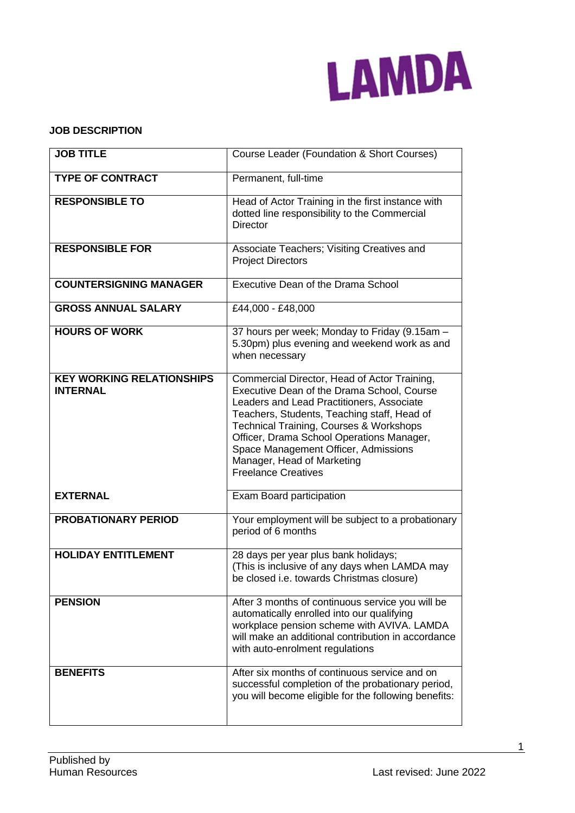

### **JOB DESCRIPTION**

| <b>JOB TITLE</b>                                    | Course Leader (Foundation & Short Courses)                                                                                                                                                                                                                                                                                                                                         |
|-----------------------------------------------------|------------------------------------------------------------------------------------------------------------------------------------------------------------------------------------------------------------------------------------------------------------------------------------------------------------------------------------------------------------------------------------|
| <b>TYPE OF CONTRACT</b>                             | Permanent, full-time                                                                                                                                                                                                                                                                                                                                                               |
| <b>RESPONSIBLE TO</b>                               | Head of Actor Training in the first instance with<br>dotted line responsibility to the Commercial<br><b>Director</b>                                                                                                                                                                                                                                                               |
| <b>RESPONSIBLE FOR</b>                              | Associate Teachers; Visiting Creatives and<br><b>Project Directors</b>                                                                                                                                                                                                                                                                                                             |
| <b>COUNTERSIGNING MANAGER</b>                       | Executive Dean of the Drama School                                                                                                                                                                                                                                                                                                                                                 |
| <b>GROSS ANNUAL SALARY</b>                          | £44,000 - £48,000                                                                                                                                                                                                                                                                                                                                                                  |
| <b>HOURS OF WORK</b>                                | 37 hours per week; Monday to Friday (9.15am -<br>5.30pm) plus evening and weekend work as and<br>when necessary                                                                                                                                                                                                                                                                    |
| <b>KEY WORKING RELATIONSHIPS</b><br><b>INTERNAL</b> | Commercial Director, Head of Actor Training,<br>Executive Dean of the Drama School, Course<br>Leaders and Lead Practitioners, Associate<br>Teachers, Students, Teaching staff, Head of<br>Technical Training, Courses & Workshops<br>Officer, Drama School Operations Manager,<br>Space Management Officer, Admissions<br>Manager, Head of Marketing<br><b>Freelance Creatives</b> |
| <b>EXTERNAL</b>                                     | Exam Board participation                                                                                                                                                                                                                                                                                                                                                           |
| PROBATIONARY PERIOD                                 | Your employment will be subject to a probationary<br>period of 6 months                                                                                                                                                                                                                                                                                                            |
| <b>HOLIDAY ENTITLEMENT</b>                          | 28 days per year plus bank holidays;<br>(This is inclusive of any days when LAMDA may<br>be closed i.e. towards Christmas closure)                                                                                                                                                                                                                                                 |
| <b>PENSION</b>                                      | After 3 months of continuous service you will be<br>automatically enrolled into our qualifying<br>workplace pension scheme with AVIVA. LAMDA<br>will make an additional contribution in accordance<br>with auto-enrolment regulations                                                                                                                                              |
| <b>BENEFITS</b>                                     | After six months of continuous service and on<br>successful completion of the probationary period,<br>you will become eligible for the following benefits:                                                                                                                                                                                                                         |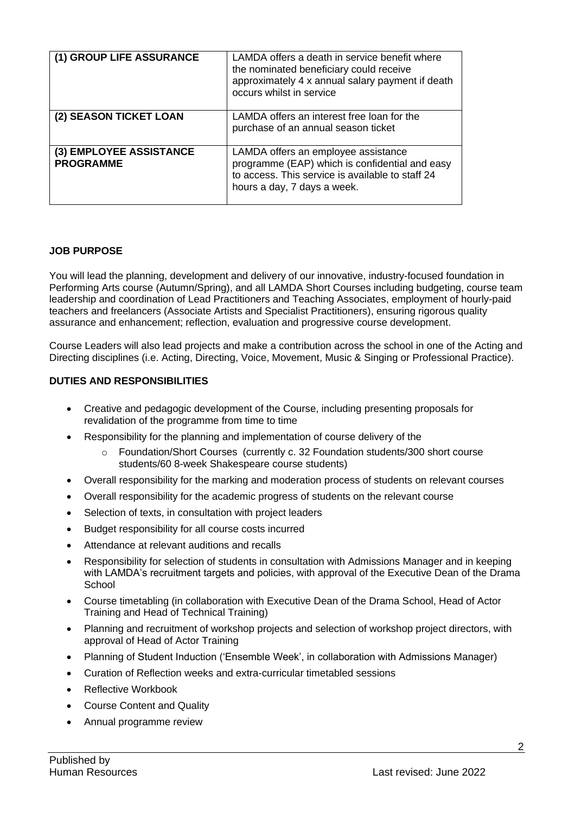| (1) GROUP LIFE ASSURANCE                    | LAMDA offers a death in service benefit where<br>the nominated beneficiary could receive<br>approximately 4 x annual salary payment if death<br>occurs whilst in service |
|---------------------------------------------|--------------------------------------------------------------------------------------------------------------------------------------------------------------------------|
| (2) SEASON TICKET LOAN                      | LAMDA offers an interest free loan for the<br>purchase of an annual season ticket                                                                                        |
| (3) EMPLOYEE ASSISTANCE<br><b>PROGRAMME</b> | LAMDA offers an employee assistance<br>programme (EAP) which is confidential and easy<br>to access. This service is available to staff 24<br>hours a day, 7 days a week. |

### **JOB PURPOSE**

You will lead the planning, development and delivery of our innovative, industry-focused foundation in Performing Arts course (Autumn/Spring), and all LAMDA Short Courses including budgeting, course team leadership and coordination of Lead Practitioners and Teaching Associates, employment of hourly-paid teachers and freelancers (Associate Artists and Specialist Practitioners), ensuring rigorous quality assurance and enhancement; reflection, evaluation and progressive course development.

Course Leaders will also lead projects and make a contribution across the school in one of the Acting and Directing disciplines (i.e. Acting, Directing, Voice, Movement, Music & Singing or Professional Practice).

### **DUTIES AND RESPONSIBILITIES**

- Creative and pedagogic development of the Course, including presenting proposals for revalidation of the programme from time to time
- Responsibility for the planning and implementation of course delivery of the
	- Foundation/Short Courses (currently c. 32 Foundation students/300 short course students/60 8-week Shakespeare course students)
- Overall responsibility for the marking and moderation process of students on relevant courses
- Overall responsibility for the academic progress of students on the relevant course
- Selection of texts, in consultation with project leaders
- Budget responsibility for all course costs incurred
- Attendance at relevant auditions and recalls
- Responsibility for selection of students in consultation with Admissions Manager and in keeping with LAMDA's recruitment targets and policies, with approval of the Executive Dean of the Drama **School**
- Course timetabling (in collaboration with Executive Dean of the Drama School, Head of Actor Training and Head of Technical Training)
- Planning and recruitment of workshop projects and selection of workshop project directors, with approval of Head of Actor Training
- Planning of Student Induction ('Ensemble Week', in collaboration with Admissions Manager)
- Curation of Reflection weeks and extra-curricular timetabled sessions
- Reflective Workbook
- Course Content and Quality
- Annual programme review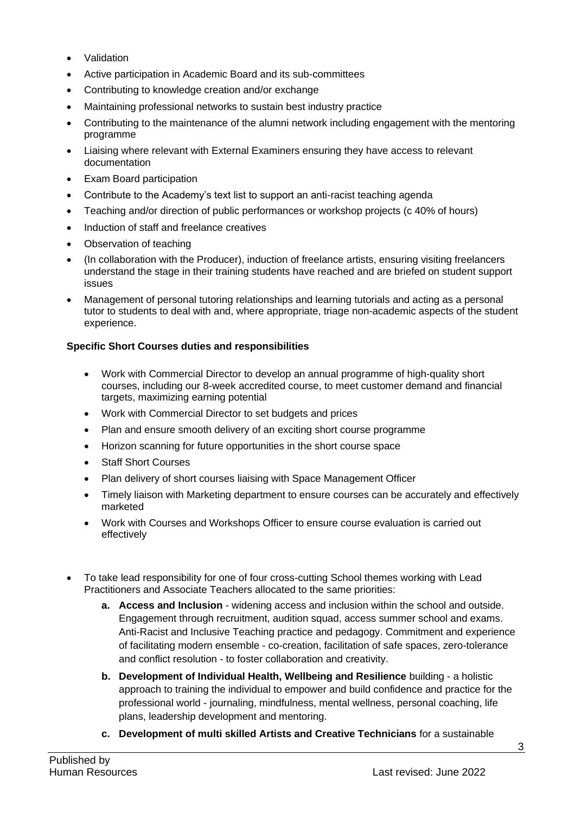- **Validation**
- Active participation in Academic Board and its sub-committees
- Contributing to knowledge creation and/or exchange
- Maintaining professional networks to sustain best industry practice
- Contributing to the maintenance of the alumni network including engagement with the mentoring programme
- Liaising where relevant with External Examiners ensuring they have access to relevant documentation
- Exam Board participation
- Contribute to the Academy's text list to support an anti-racist teaching agenda
- Teaching and/or direction of public performances or workshop projects (c 40% of hours)
- Induction of staff and freelance creatives
- Observation of teaching
- (In collaboration with the Producer), induction of freelance artists, ensuring visiting freelancers understand the stage in their training students have reached and are briefed on student support issues
- Management of personal tutoring relationships and learning tutorials and acting as a personal tutor to students to deal with and, where appropriate, triage non-academic aspects of the student experience.

## **Specific Short Courses duties and responsibilities**

- Work with Commercial Director to develop an annual programme of high-quality short courses, including our 8-week accredited course, to meet customer demand and financial targets, maximizing earning potential
- Work with Commercial Director to set budgets and prices
- Plan and ensure smooth delivery of an exciting short course programme
- Horizon scanning for future opportunities in the short course space
- Staff Short Courses
- Plan delivery of short courses liaising with Space Management Officer
- Timely liaison with Marketing department to ensure courses can be accurately and effectively marketed
- Work with Courses and Workshops Officer to ensure course evaluation is carried out effectively
- To take lead responsibility for one of four cross-cutting School themes working with Lead Practitioners and Associate Teachers allocated to the same priorities:
	- **a. Access and Inclusion** widening access and inclusion within the school and outside. Engagement through recruitment, audition squad, access summer school and exams. Anti-Racist and Inclusive Teaching practice and pedagogy. Commitment and experience of facilitating modern ensemble - co-creation, facilitation of safe spaces, zero-tolerance and conflict resolution - to foster collaboration and creativity.
	- **b. Development of Individual Health, Wellbeing and Resilience** building a holistic approach to training the individual to empower and build confidence and practice for the professional world - journaling, mindfulness, mental wellness, personal coaching, life plans, leadership development and mentoring.
	- **c. Development of multi skilled Artists and Creative Technicians** for a sustainable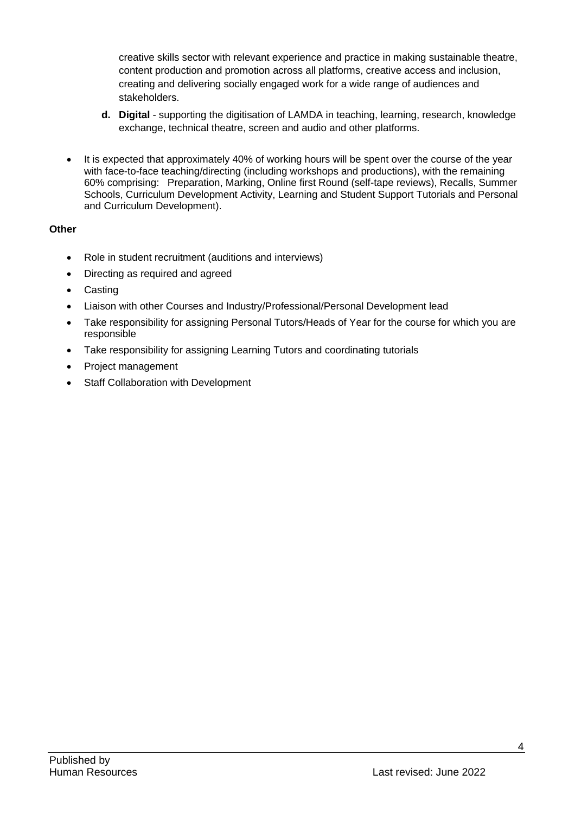creative skills sector with relevant experience and practice in making sustainable theatre, content production and promotion across all platforms, creative access and inclusion, creating and delivering socially engaged work for a wide range of audiences and stakeholders.

- **d. Digital** supporting the digitisation of LAMDA in teaching, learning, research, knowledge exchange, technical theatre, screen and audio and other platforms.
- It is expected that approximately 40% of working hours will be spent over the course of the year with face-to-face teaching/directing (including workshops and productions), with the remaining 60% comprising: Preparation, Marking, Online first Round (self-tape reviews), Recalls, Summer Schools, Curriculum Development Activity, Learning and Student Support Tutorials and Personal and Curriculum Development).

# **Other**

- Role in student recruitment (auditions and interviews)
- Directing as required and agreed
- **Casting**
- Liaison with other Courses and Industry/Professional/Personal Development lead
- Take responsibility for assigning Personal Tutors/Heads of Year for the course for which you are responsible
- Take responsibility for assigning Learning Tutors and coordinating tutorials
- Project management
- Staff Collaboration with Development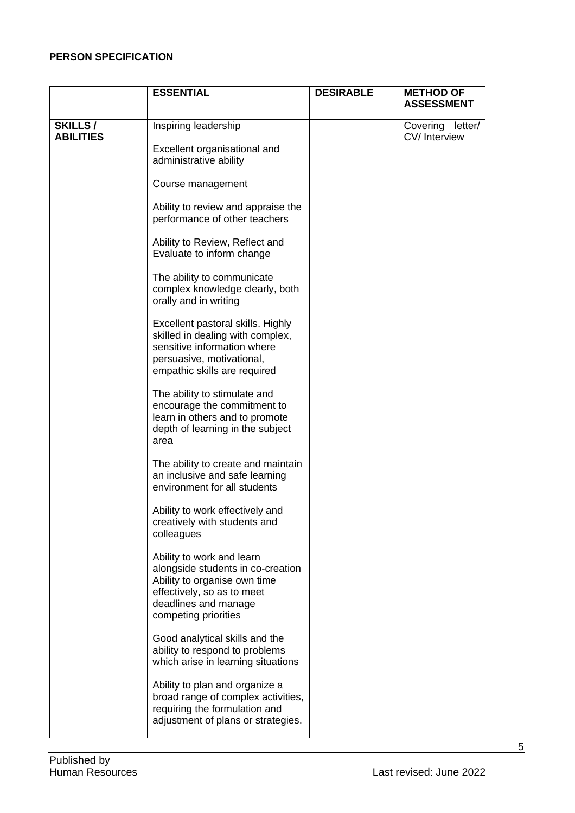### **PERSON SPECIFICATION**

|                                    | <b>ESSENTIAL</b>                                                                                                                                                             | <b>DESIRABLE</b> | <b>METHOD OF</b><br><b>ASSESSMENT</b> |
|------------------------------------|------------------------------------------------------------------------------------------------------------------------------------------------------------------------------|------------------|---------------------------------------|
|                                    |                                                                                                                                                                              |                  |                                       |
| <b>SKILLS/</b><br><b>ABILITIES</b> | Inspiring leadership<br>Excellent organisational and<br>administrative ability                                                                                               |                  | Covering<br>letter/<br>CV/Interview   |
|                                    | Course management                                                                                                                                                            |                  |                                       |
|                                    | Ability to review and appraise the<br>performance of other teachers                                                                                                          |                  |                                       |
|                                    | Ability to Review, Reflect and<br>Evaluate to inform change                                                                                                                  |                  |                                       |
|                                    | The ability to communicate<br>complex knowledge clearly, both<br>orally and in writing                                                                                       |                  |                                       |
|                                    | Excellent pastoral skills. Highly<br>skilled in dealing with complex,<br>sensitive information where<br>persuasive, motivational,<br>empathic skills are required            |                  |                                       |
|                                    | The ability to stimulate and<br>encourage the commitment to<br>learn in others and to promote<br>depth of learning in the subject<br>area                                    |                  |                                       |
|                                    | The ability to create and maintain<br>an inclusive and safe learning<br>environment for all students                                                                         |                  |                                       |
|                                    | Ability to work effectively and<br>creatively with students and<br>colleagues                                                                                                |                  |                                       |
|                                    | Ability to work and learn<br>alongside students in co-creation<br>Ability to organise own time<br>effectively, so as to meet<br>deadlines and manage<br>competing priorities |                  |                                       |
|                                    | Good analytical skills and the<br>ability to respond to problems<br>which arise in learning situations                                                                       |                  |                                       |
|                                    | Ability to plan and organize a<br>broad range of complex activities,<br>requiring the formulation and<br>adjustment of plans or strategies.                                  |                  |                                       |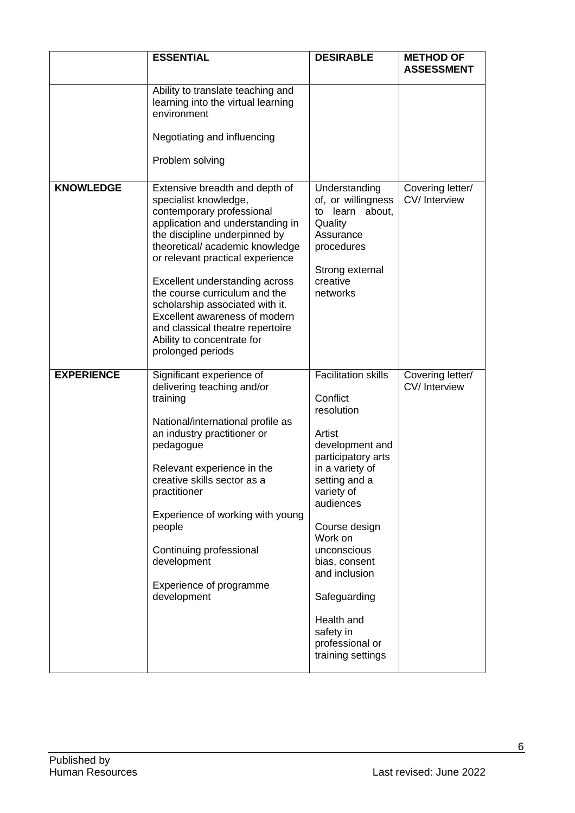|                   | <b>ESSENTIAL</b>                                                                                                                                                                                                                                                                                                                                                                                                                                              | <b>DESIRABLE</b>                                                                                                                                                                                                                                                                                                                       | <b>METHOD OF</b><br><b>ASSESSMENT</b> |
|-------------------|---------------------------------------------------------------------------------------------------------------------------------------------------------------------------------------------------------------------------------------------------------------------------------------------------------------------------------------------------------------------------------------------------------------------------------------------------------------|----------------------------------------------------------------------------------------------------------------------------------------------------------------------------------------------------------------------------------------------------------------------------------------------------------------------------------------|---------------------------------------|
|                   | Ability to translate teaching and<br>learning into the virtual learning<br>environment                                                                                                                                                                                                                                                                                                                                                                        |                                                                                                                                                                                                                                                                                                                                        |                                       |
|                   | Negotiating and influencing<br>Problem solving                                                                                                                                                                                                                                                                                                                                                                                                                |                                                                                                                                                                                                                                                                                                                                        |                                       |
| <b>KNOWLEDGE</b>  | Extensive breadth and depth of<br>specialist knowledge,<br>contemporary professional<br>application and understanding in<br>the discipline underpinned by<br>theoretical/academic knowledge<br>or relevant practical experience<br>Excellent understanding across<br>the course curriculum and the<br>scholarship associated with it.<br>Excellent awareness of modern<br>and classical theatre repertoire<br>Ability to concentrate for<br>prolonged periods | Understanding<br>of, or willingness<br>learn about,<br>to<br>Quality<br>Assurance<br>procedures<br>Strong external<br>creative<br>networks                                                                                                                                                                                             | Covering letter/<br>CV/ Interview     |
| <b>EXPERIENCE</b> | Significant experience of<br>delivering teaching and/or<br>training<br>National/international profile as<br>an industry practitioner or<br>pedagogue<br>Relevant experience in the<br>creative skills sector as a<br>practitioner<br>Experience of working with young<br>people<br>Continuing professional<br>development<br>Experience of programme<br>development                                                                                           | <b>Facilitation skills</b><br>Conflict<br>resolution<br>Artist<br>development and<br>participatory arts<br>in a variety of<br>setting and a<br>variety of<br>audiences<br>Course design<br>Work on<br>unconscious<br>bias, consent<br>and inclusion<br>Safeguarding<br>Health and<br>safety in<br>professional or<br>training settings | Covering letter/<br>CV/Interview      |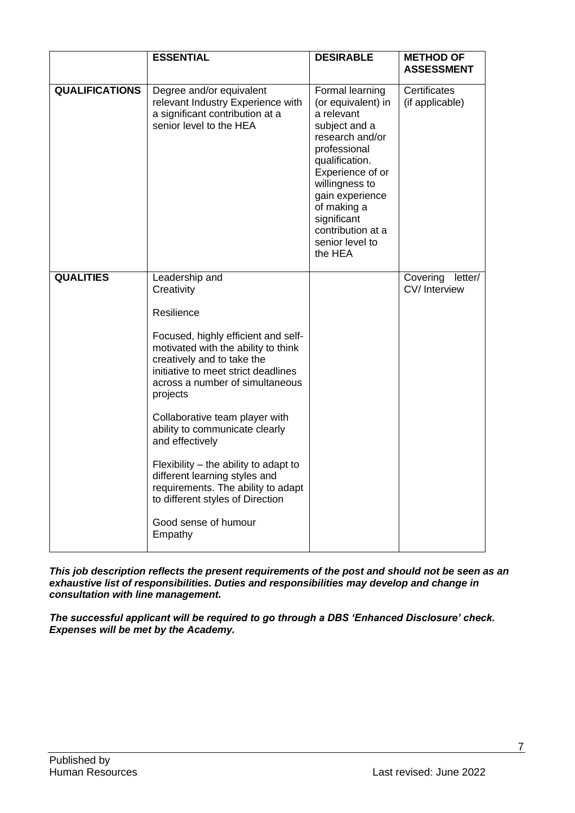|                       | <b>ESSENTIAL</b>                                                                                                                                                                                                                                                                                                                                                                                                                                                                                                           | <b>DESIRABLE</b>                                                                                                                                                                                                                                                    | <b>METHOD OF</b><br><b>ASSESSMENT</b> |
|-----------------------|----------------------------------------------------------------------------------------------------------------------------------------------------------------------------------------------------------------------------------------------------------------------------------------------------------------------------------------------------------------------------------------------------------------------------------------------------------------------------------------------------------------------------|---------------------------------------------------------------------------------------------------------------------------------------------------------------------------------------------------------------------------------------------------------------------|---------------------------------------|
| <b>QUALIFICATIONS</b> | Degree and/or equivalent<br>relevant Industry Experience with<br>a significant contribution at a<br>senior level to the HEA                                                                                                                                                                                                                                                                                                                                                                                                | Formal learning<br>(or equivalent) in<br>a relevant<br>subject and a<br>research and/or<br>professional<br>qualification.<br>Experience of or<br>willingness to<br>gain experience<br>of making a<br>significant<br>contribution at a<br>senior level to<br>the HEA | Certificates<br>(if applicable)       |
| <b>QUALITIES</b>      | Leadership and<br>Creativity<br>Resilience<br>Focused, highly efficient and self-<br>motivated with the ability to think<br>creatively and to take the<br>initiative to meet strict deadlines<br>across a number of simultaneous<br>projects<br>Collaborative team player with<br>ability to communicate clearly<br>and effectively<br>Flexibility - the ability to adapt to<br>different learning styles and<br>requirements. The ability to adapt<br>to different styles of Direction<br>Good sense of humour<br>Empathy |                                                                                                                                                                                                                                                                     | Covering<br>letter/<br>CV/Interview   |

*This job description reflects the present requirements of the post and should not be seen as an exhaustive list of responsibilities. Duties and responsibilities may develop and change in consultation with line management.*

*The successful applicant will be required to go through a DBS 'Enhanced Disclosure' check. Expenses will be met by the Academy.*